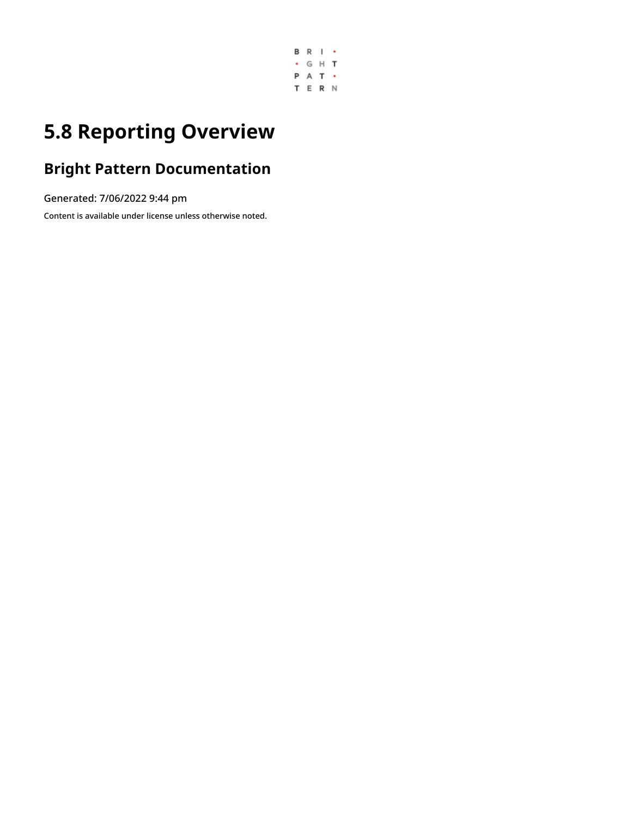

# **5.8 Reporting Overview**

# **Bright Pattern Documentation**

Generated: 7/06/2022 9:44 pm

Content is available under license unless otherwise noted.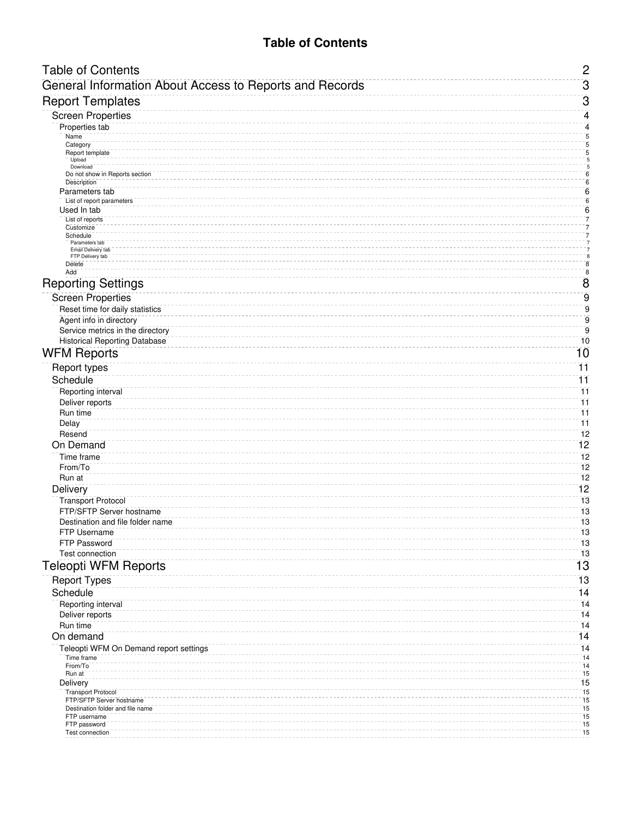# **Table of Contents**

<span id="page-1-0"></span>

| <b>Table of Contents</b>                                    | $\mathbf{2}$                     |
|-------------------------------------------------------------|----------------------------------|
| General Information About Access to Reports and Records     | $\overline{3}$                   |
| <b>Report Templates</b>                                     | $\overline{3}$                   |
| <b>Screen Properties</b>                                    | 4                                |
| Properties tab                                              | 4                                |
| Name<br>Category                                            | $\sqrt{5}$<br>$\bar{\bf 5}$      |
| Report template                                             | 5                                |
| Upload<br>Download                                          | $\overline{\bf 5}$<br>5          |
| Do not show in Reports section                              | $\overline{\bf 6}$               |
| Description<br>Parameters tab                               | $\overline{6}$<br>$\overline{6}$ |
| List of report parameters                                   | $\sqrt{6}$                       |
| Used In tab                                                 | $\overline{6}$                   |
| List of reports<br>Customize                                | 7<br>7                           |
| Schedule<br>Parameters tab                                  | $\bar{7}$<br>$\overline{7}$      |
| Email Delivery tab<br>FTP Delivery tab                      | $\bar{7}$<br>8                   |
| Delete                                                      | $\bf 8$                          |
| Add                                                         | $\bf 8$                          |
| <b>Reporting Settings</b>                                   | $\overline{8}$                   |
| <b>Screen Properties</b>                                    | $\overline{9}$                   |
| Reset time for daily statistics                             | $\overline{9}$                   |
| Agent info in directory<br>Service metrics in the directory | $\overline{9}$<br>$\overline{9}$ |
| <b>Historical Reporting Database</b>                        | 10                               |
| <b>WFM Reports</b>                                          | 10                               |
| <b>Report types</b>                                         | $\overline{11}$                  |
| Schedule                                                    | 11                               |
| Reporting interval                                          | 11                               |
| Deliver reports                                             | $\overline{11}$                  |
| Run time                                                    | $\overline{11}$                  |
| Delay                                                       | $\overline{11}$                  |
| Resend<br>On Demand                                         | 12<br>12                         |
| Time frame                                                  | 12                               |
| From/To                                                     | 12                               |
| Run at                                                      | 12                               |
| Delivery                                                    | $\overline{12}$                  |
| <b>Transport Protocol</b>                                   | 13                               |
| FTP/SFTP Server hostname                                    | 13                               |
| Destination and file folder name<br>FTP Username            | 13<br>13                         |
| FTP Password                                                | 13                               |
| <b>Test connection</b>                                      | 13                               |
| <b>Teleopti WFM Reports</b>                                 | 13                               |
| <b>Report Types</b>                                         | 13                               |
| Schedule                                                    | 14                               |
| Reporting interval                                          | 14                               |
| Deliver reports                                             | 14                               |
| Run time                                                    | 14                               |
| On demand                                                   | 14                               |
| Teleopti WFM On Demand report settings<br>Time frame        | 14<br>14                         |
| From/To                                                     | 14                               |
| Run at                                                      | 15<br>15                         |
| Delivery<br><b>Transport Protocol</b>                       | 15                               |
| FTP/SFTP Server hostname                                    | 15                               |
| Destination folder and file name<br>FTP username            | 15<br>15                         |
| FTP password                                                | $\overline{15}$                  |
| Test connection                                             | 15                               |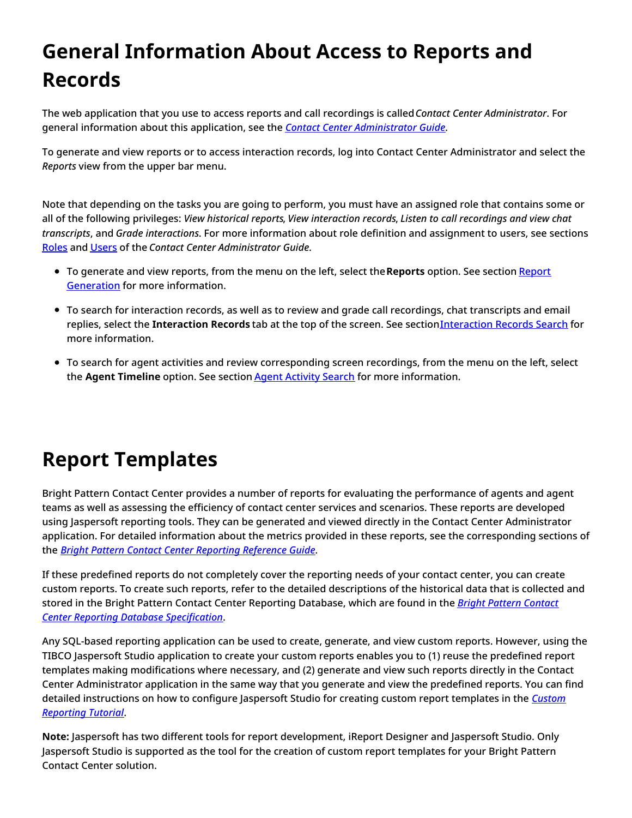# <span id="page-2-0"></span>**General Information About Access to Reports and Records**

The web application that you use to access reports and call recordings is called*Contact Center Administrator*. For general information about this application, see the *Contact Center [Administrator](https://help.brightpattern.com/5.8:Contact-center-administrator-guide/Reporting/Overview/?action=html-localimages-export#topic_contact-center-administrator-guide.2Fpurpose) Guide*.

To generate and view reports or to access interaction records, log into Contact Center Administrator and select the *Reports* view from the upper bar menu.

Note that depending on the tasks you are going to perform, you must have an assigned role that contains some or all of the following privileges: *View historical reports*, *View interaction records*, *Listen to call recordings and view chat transcripts*, and *Grade interactions*. For more information about role definition and assignment to users, see sections [Roles](https://help.brightpattern.com/5.8:Contact-center-administrator-guide/Reporting/Overview/?action=html-localimages-export#topic_contact-center-administrator-guide.2Froles) and [Users](https://help.brightpattern.com/5.8:Contact-center-administrator-guide/Reporting/Overview/?action=html-localimages-export#topic_contact-center-administrator-guide.2Fusers) of the *Contact Center Administrator Guide*.

- To generate and view reports, from the menu on the left, select the**Reports** option. See section Report Generation for more [information.](https://help.brightpattern.com/5.8:Contact-center-administrator-guide/Reporting/Overview/?action=html-localimages-export#topic_reporting-reference-guide.2Freportgeneration)
- To search for interaction records, as well as to review and grade call recordings, chat transcripts and email replies, select the [Interaction](https://help.brightpattern.com/5.8:Contact-center-administrator-guide/Reporting/Overview/?action=html-localimages-export#topic_reporting-reference-guide.2Finteractionrecordssearch) Records tab at the top of the screen. See section Interaction Records Search for more information.
- To search for agent activities and review corresponding screen recordings, from the menu on the left, select the **Agent Timeline** option. See section Agent [Activity](https://help.brightpattern.com/5.8:Contact-center-administrator-guide/Reporting/Overview/?action=html-localimages-export#topic_reporting-reference-guide.2Fagentactivitysearch) Search for more information.

# <span id="page-2-1"></span>**Report Templates**

Bright Pattern Contact Center provides a number of reports for evaluating the performance of agents and agent teams as well as assessing the efficiency of contact center services and scenarios. These reports are developed using Jaspersoft reporting tools. They can be generated and viewed directly in the Contact Center Administrator application. For detailed information about the metrics provided in these reports, see the corresponding sections of the *Bright Pattern Contact Center [Reporting](https://help.brightpattern.com/5.8:Contact-center-administrator-guide/Reporting/Overview/?action=html-localimages-export#topic_reporting-reference-guide.2Fpurpose) Reference Guide*.

If these predefined reports do not completely cover the reporting needs of your contact center, you can create custom reports. To create such reports, refer to the detailed descriptions of the historical data that is collected and stored in the Bright Pattern Contact Center Reporting Database, which are found in the *Bright Pattern Contact Center Reporting Database [Specification](https://help.brightpattern.com/5.8:Contact-center-administrator-guide/Reporting/Overview/?action=html-localimages-export#topic_reporting-database-specification.2Fpurpose)*.

Any SQL-based reporting application can be used to create, generate, and view custom reports. However, using the TIBCO Jaspersoft Studio application to create your custom reports enables you to (1) reuse the predefined report templates making modifications where necessary, and (2) generate and view such reports directly in the Contact Center Administrator application in the same way that you generate and view the predefined reports. You can find detailed [instructions](https://help.brightpattern.com/5.8:Contact-center-administrator-guide/Reporting/Overview/?action=html-localimages-export#topic_custom-reporting-tutorial.2Fpurpose) on how to configure Jaspersoft Studio for creating custom report templates in the *Custom Reporting Tutorial*.

**Note:** Jaspersoft has two different tools for report development, iReport Designer and Jaspersoft Studio. Only Jaspersoft Studio is supported as the tool for the creation of custom report templates for your Bright Pattern Contact Center solution.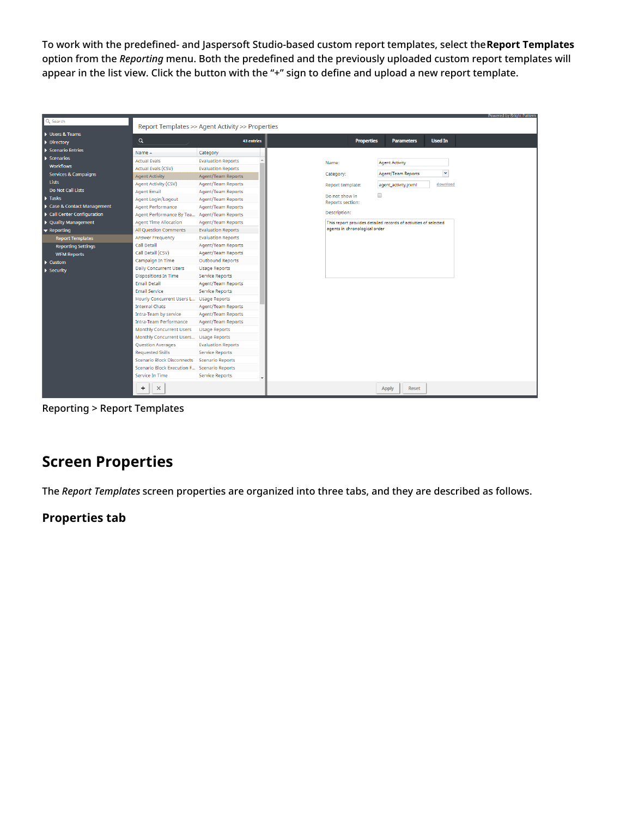To work with the predefined- and Jaspersoft Studio-based custom report templates, select the**Report Templates** option from the *Reporting* menu. Both the predefined and the previously uploaded custom report templates will appear in the list view. Click the button with the "+" sign to define and upload a new report template.

| Q Search                        |                                                  |                           |                  |                               |                                                                 |                | Powered by Bright Pattern |
|---------------------------------|--------------------------------------------------|---------------------------|------------------|-------------------------------|-----------------------------------------------------------------|----------------|---------------------------|
|                                 | Report Templates >> Agent Activity >> Properties |                           |                  |                               |                                                                 |                |                           |
| Users & Teams                   |                                                  |                           |                  |                               |                                                                 |                |                           |
| $\triangleright$ Directory      | $\alpha$                                         | <b>43 entries</b>         |                  | <b>Properties</b>             | <b>Parameters</b>                                               | <b>Used In</b> |                           |
| Scenario Entries                | Name $\sim$                                      | Category                  |                  |                               |                                                                 |                |                           |
| $\blacktriangleright$ Scenarios | <b>Actual Evals</b>                              | <b>Evaluation Reports</b> |                  |                               |                                                                 |                |                           |
| <b>Workflows</b>                | <b>Actual Evals (CSV)</b>                        | <b>Evaluation Reports</b> | Name:            |                               | <b>Agent Activity</b>                                           |                |                           |
| <b>Services &amp; Campaigns</b> | <b>Agent Activity</b>                            | Agent/Team Reports        | Category:        |                               | <b>Agent/Team Reports</b>                                       | $\checkmark$   |                           |
| Lists                           | Agent Activity (CSV)                             | Agent/Team Reports        |                  |                               |                                                                 | download       |                           |
| <b>Do Not Call Lists</b>        | <b>Agent Email</b>                               | Agent/Team Reports        | Report template: |                               | agent_activity.jrxml                                            |                |                           |
| $\blacktriangleright$ Tasks     | Agent Login/Logout                               | Agent/Team Reports        | Do not show in   |                               | $\Box$                                                          |                |                           |
| Case & Contact Management       | Agent Performance                                | Agent/Team Reports        | Reports section: |                               |                                                                 |                |                           |
| Call Center Configuration       | Agent Performance By Tea Agent/Team Reports      |                           | Description:     |                               |                                                                 |                |                           |
| ▶ Quality Management            | <b>Agent Time Allocation</b>                     | <b>Agent/Team Reports</b> |                  |                               | This report provides detailed records of activities of selected |                |                           |
| $\blacktriangledown$ Reporting  | <b>All Question Comments</b>                     | <b>Evaluation Reports</b> |                  | agents in chronological order |                                                                 |                |                           |
| <b>Report Templates</b>         | Answer Frequency                                 | <b>Evaluation Reports</b> |                  |                               |                                                                 |                |                           |
|                                 | <b>Call Detail</b>                               | Agent/Team Reports        |                  |                               |                                                                 |                |                           |
| <b>Reporting Settings</b>       | Call Detail (CSV)                                | Agent/Team Reports        |                  |                               |                                                                 |                |                           |
| <b>WFM Reports</b>              | Campaign In Time                                 | <b>Outbound Reports</b>   |                  |                               |                                                                 |                |                           |
| $\blacktriangleright$ Custom    | <b>Daily Concurrent Users</b>                    | <b>Usage Reports</b>      |                  |                               |                                                                 |                |                           |
| $\blacktriangleright$ Security  | <b>Dispositions In Time</b>                      | Service Reports           |                  |                               |                                                                 |                |                           |
|                                 | <b>Email Detail</b>                              | Agent/Team Reports        |                  |                               |                                                                 |                |                           |
|                                 | <b>Email Service</b>                             | Service Reports           |                  |                               |                                                                 |                |                           |
|                                 | Hourly Concurrent Users L Usage Reports          |                           |                  |                               |                                                                 |                |                           |
|                                 | <b>Internal Chats</b>                            | Agent/Team Reports        |                  |                               |                                                                 |                |                           |
|                                 | Intra-Team by service                            | Agent/Team Reports        |                  |                               |                                                                 |                |                           |
|                                 | Intra-Team Performance                           | Agent/Team Reports        |                  |                               |                                                                 |                |                           |
|                                 | <b>Monthly Concurrent Users</b>                  | <b>Usage Reports</b>      |                  |                               |                                                                 |                |                           |
|                                 | Monthly Concurrent Users                         | <b>Usage Reports</b>      |                  |                               |                                                                 |                |                           |
|                                 | Question Averages                                | <b>Evaluation Reports</b> |                  |                               |                                                                 |                |                           |
|                                 | <b>Requested Skills</b>                          | Service Reports           |                  |                               |                                                                 |                |                           |
|                                 | <b>Scenario Block Disconnects</b>                | Scenario Reports          |                  |                               |                                                                 |                |                           |
|                                 | Scenario Block Execution F Scenario Reports      |                           |                  |                               |                                                                 |                |                           |
|                                 | Service In Time                                  | Service Reports           |                  |                               |                                                                 |                |                           |
|                                 |                                                  |                           |                  |                               |                                                                 |                |                           |
|                                 | +<br>$\times$                                    |                           |                  |                               | <b>Apply</b><br><b>Reset</b>                                    |                |                           |

Reporting > Report Templates

# <span id="page-3-0"></span>**Screen Properties**

The *Report Templates* screen properties are organized into three tabs, and they are described as follows.

# <span id="page-3-1"></span>**Properties tab**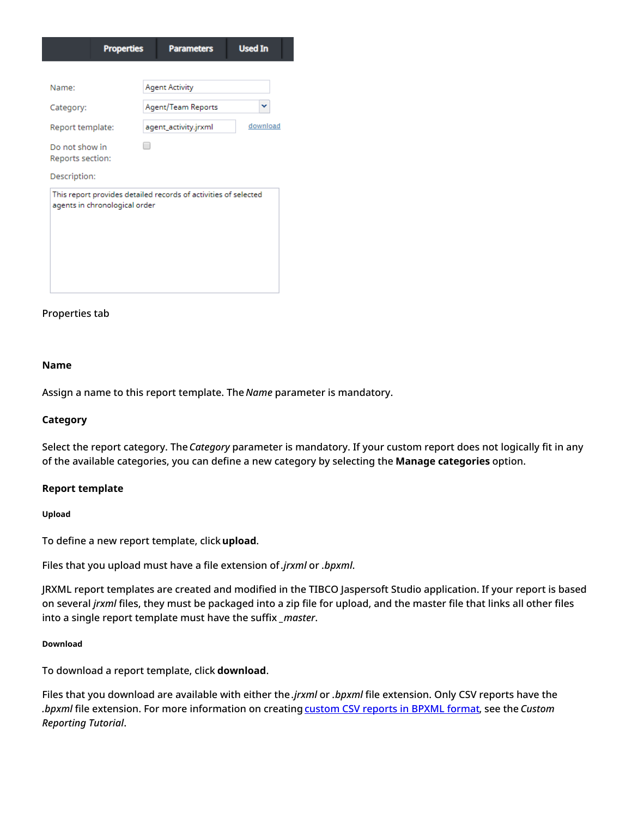| <b>Properties</b>                                                                                | <b>Parameters</b>     | <b>Used In</b> |
|--------------------------------------------------------------------------------------------------|-----------------------|----------------|
|                                                                                                  |                       |                |
| Name:                                                                                            | <b>Agent Activity</b> |                |
| Category:                                                                                        | Agent/Team Reports    | v              |
| Report template:                                                                                 | agent_activity.jrxml  | download       |
| Do not show in<br>Reports section:                                                               |                       |                |
| Description:                                                                                     |                       |                |
| This report provides detailed records of activities of selected<br>agents in chronological order |                       |                |

#### Properties tab

#### <span id="page-4-0"></span>**Name**

Assign a name to this report template. The *Name* parameter is mandatory.

#### <span id="page-4-1"></span>**Category**

Select the report category. The *Category* parameter is mandatory. If your custom report does not logically fit in any of the available categories, you can define a new category by selecting the **Manage categories** option.

#### <span id="page-4-2"></span>**Report template**

#### <span id="page-4-3"></span>**Upload**

To define a new report template, click**upload**.

Files that you upload must have a file extension of*.jrxml* or *.bpxml*.

JRXML report templates are created and modified in the TIBCO Jaspersoft Studio application. If your report is based on several *jrxml* files, they must be packaged into a zip file for upload, and the master file that links all other files into a single report template must have the suffix *\_master*.

#### <span id="page-4-4"></span>**Download**

To download a report template, click **download**.

Files that you download are available with either the *.jrxml* or *.bpxml* file extension. Only CSV reports have the *.bpxml* file extension. For more information on creating [custom](https://help.brightpattern.com/5.8:Contact-center-administrator-guide/Reporting/Overview/?action=html-localimages-export#topic_custom-reporting-tutorial.2Foverview) CSV reports in BPXML format, see the *Custom Reporting Tutorial*.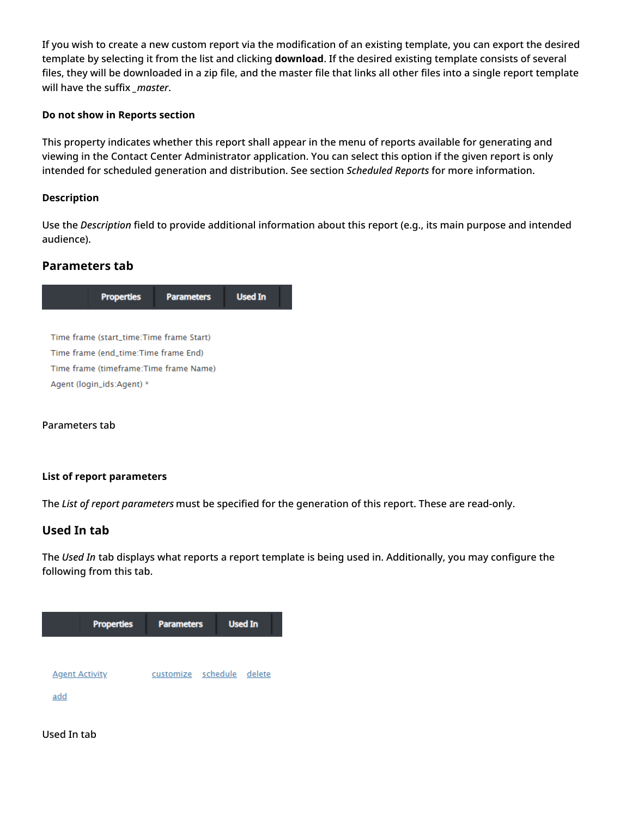If you wish to create a new custom report via the modification of an existing template, you can export the desired template by selecting it from the list and clicking **download**. If the desired existing template consists of several files, they will be downloaded in a zip file, and the master file that links all other files into a single report template will have the suffix *\_master*.

#### <span id="page-5-0"></span>**Do not show in Reports section**

This property indicates whether this report shall appear in the menu of reports available for generating and viewing in the Contact Center Administrator application. You can select this option if the given report is only intended for scheduled generation and distribution. See section *Scheduled Reports* for more information.

#### <span id="page-5-1"></span>**Description**

Use the *Description* field to provide additional information about this report (e.g., its main purpose and intended audience).

### <span id="page-5-2"></span>**Parameters tab**



#### Parameters tab

#### <span id="page-5-3"></span>**List of report parameters**

The *List of report parameters* must be specified for the generation of this report. These are read-only.

#### <span id="page-5-4"></span>**Used In tab**

The *Used In* tab displays what reports a report template is being used in. Additionally, you may configure the following from this tab.



#### Used In tab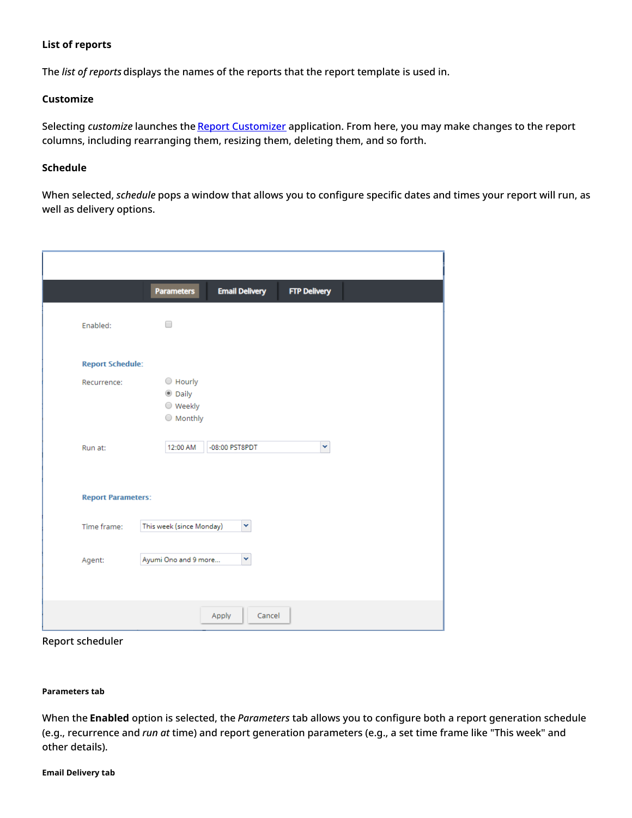#### <span id="page-6-0"></span>**List of reports**

The *list of reports* displays the names of the reports that the report template is used in.

#### <span id="page-6-1"></span>**Customize**

Selecting *customize* launches the Report [Customizer](https://help.brightpattern.com/5.8:Reporting-reference-guide/ReportGeneration#How_to_Customize_Reports) application. From here, you may make changes to the report columns, including rearranging them, resizing them, deleting them, and so forth.

#### <span id="page-6-2"></span>**Schedule**

When selected, *schedule* pops a window that allows you to configure specific dates and times your report will run, as well as delivery options.

|                           | <b>Parameters</b>                                            | <b>Email Delivery</b> |        | <b>FTP Delivery</b> |  |
|---------------------------|--------------------------------------------------------------|-----------------------|--------|---------------------|--|
| Enabled:                  | □                                                            |                       |        |                     |  |
| <b>Report Schedule:</b>   |                                                              |                       |        |                     |  |
| Recurrence:               | $\bigcirc$ Hourly<br><b>O</b> Daily<br>○ Weekly<br>O Monthly |                       |        |                     |  |
| Run at:                   | 12:00 AM                                                     | -08:00 PST8PDT        |        | ×                   |  |
| <b>Report Parameters:</b> |                                                              |                       |        |                     |  |
| Time frame:               | This week (since Monday)                                     | ×                     |        |                     |  |
| Agent:                    | Ayumi Ono and 9 more                                         | ×                     |        |                     |  |
|                           |                                                              | Apply                 | Cancel |                     |  |

Report scheduler

#### <span id="page-6-3"></span>**Parameters tab**

<span id="page-6-4"></span>When the **Enabled** option is selected, the *Parameters* tab allows you to configure both a report generation schedule (e.g., recurrence and *run at* time) and report generation parameters (e.g., a set time frame like "This week" and other details).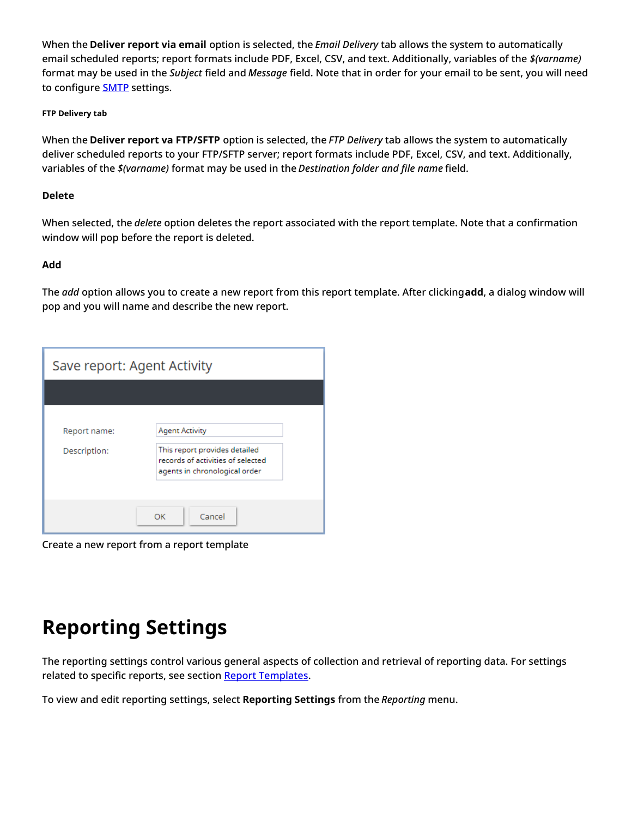When the **Deliver report via email** option is selected, the *Email Delivery* tab allows the system to automatically email scheduled reports; report formats include PDF, Excel, CSV, and text. Additionally, variables of the *\$(varname)* format may be used in the *Subject* field and *Message* field. Note that in order for your email to be sent, you will need to configure **[SMTP](https://help.brightpattern.com/5.8:Contact-center-administrator-guide/EmailSettings#SMTP_Configuration)** settings.

#### <span id="page-7-0"></span>**FTP Delivery tab**

When the **Deliver report va FTP/SFTP** option is selected, the *FTP Delivery* tab allows the system to automatically deliver scheduled reports to your FTP/SFTP server; report formats include PDF, Excel, CSV, and text. Additionally, variables of the *\$(varname)* format may be used in the *Destination folder and file name* field.

#### <span id="page-7-1"></span>**Delete**

When selected, the *delete* option deletes the report associated with the report template. Note that a confirmation window will pop before the report is deleted.

#### <span id="page-7-2"></span>**Add**

The *add* option allows you to create a new report from this report template. After clicking**add**, a dialog window will pop and you will name and describe the new report.

| Save report: Agent Activity  |                                                                                                                              |  |  |  |  |  |
|------------------------------|------------------------------------------------------------------------------------------------------------------------------|--|--|--|--|--|
|                              |                                                                                                                              |  |  |  |  |  |
| Report name:<br>Description: | <b>Agent Activity</b><br>This report provides detailed<br>records of activities of selected<br>agents in chronological order |  |  |  |  |  |
|                              | Cancel<br>OK                                                                                                                 |  |  |  |  |  |

Create a new report from a report template

# <span id="page-7-3"></span>**Reporting Settings**

The reporting settings control various general aspects of collection and retrieval of reporting data. For settings related to specific reports, see section Report [Templates](https://help.brightpattern.com/5.8:Contact-center-administrator-guide/Reporting/Overview/?action=html-localimages-export#topic_contact-center-administrator-guide.2Freporttemplates).

To view and edit reporting settings, select **Reporting Settings** from the *Reporting* menu.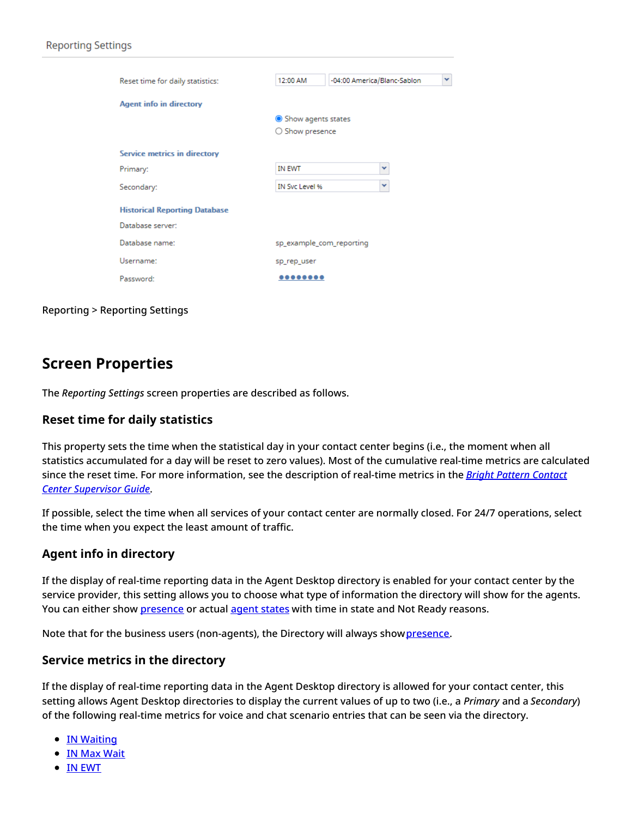| Reset time for daily statistics:     | 12:00 AM                 | -04:00 America/Blanc-Sablon | v |
|--------------------------------------|--------------------------|-----------------------------|---|
| <b>Agent info in directory</b>       |                          |                             |   |
|                                      | Show agents states       |                             |   |
|                                      | $\bigcirc$ Show presence |                             |   |
|                                      |                          |                             |   |
| <b>Service metrics in directory</b>  |                          |                             |   |
| Primary:                             | <b>IN EWT</b>            | $\checkmark$                |   |
| Secondary:                           | IN Svc Level %           | ×                           |   |
| <b>Historical Reporting Database</b> |                          |                             |   |
| Database server:                     |                          |                             |   |
| Database name:                       | sp_example_com_reporting |                             |   |
| Username:                            | sp_rep_user              |                             |   |
| Password:                            |                          |                             |   |
|                                      |                          |                             |   |

Reporting > Reporting Settings

# <span id="page-8-0"></span>**Screen Properties**

The *Reporting Settings* screen properties are described as follows.

#### <span id="page-8-1"></span>**Reset time for daily statistics**

This property sets the time when the statistical day in your contact center begins (i.e., the moment when all statistics accumulated for a day will be reset to zero values). Most of the cumulative real-time metrics are calculated since the reset time. For more [information,](https://help.brightpattern.com/5.8:Contact-center-administrator-guide/Reporting/Overview/?action=html-localimages-export#topic_supervisor-guide.2Fpurpose) see the description of real-time metrics in the *Bright Pattern Contact Center Supervisor Guide*.

If possible, select the time when all services of your contact center are normally closed. For 24/7 operations, select the time when you expect the least amount of traffic.

# <span id="page-8-2"></span>**Agent info in directory**

If the display of real-time reporting data in the Agent Desktop directory is enabled for your contact center by the service provider, this setting allows you to choose what type of information the directory will show for the agents. You can either show [presence](https://help.brightpattern.com/5.8:Agent-guide/Tutorials/Calls/HowtoUsetheDirectory#Presence_Icons) or actual agent [states](https://help.brightpattern.com/5.8:Agent-guide/Tutorials/Calls/HowtoUsetheDirectory#Agent_State_Icons) with time in state and Not Ready reasons.

Note that for the business users (non-agents), the Directory will always show [presence](https://help.brightpattern.com/5.8:Agent-guide/Tutorials/Calls/HowtoUsetheDirectory#Presence_Icons).

#### <span id="page-8-3"></span>**Service metrics in the directory**

If the display of real-time reporting data in the Agent Desktop directory is allowed for your contact center, this setting allows Agent Desktop directories to display the current values of up to two (i.e., a *Primary* and a *Secondary*) of the following real-time metrics for voice and chat scenario entries that can be seen via the directory.

- **IN [Waiting](https://help.brightpattern.com/5.8:Reporting-reference-guide/AllMetrics#Inbound_Interactions_Currently_in_Queue_.28IN_Waiting.29)**
- **IN Max [Wait](https://help.brightpattern.com/5.8:Reporting-reference-guide/AllMetrics#Max_Inbound_Wait_Time_.28IN_Max_Wait.29)**
- IN [EWT](https://help.brightpattern.com/5.8:Reporting-reference-guide/AllMetrics#Estimated_Wait_Time_.28IN_EWT.29)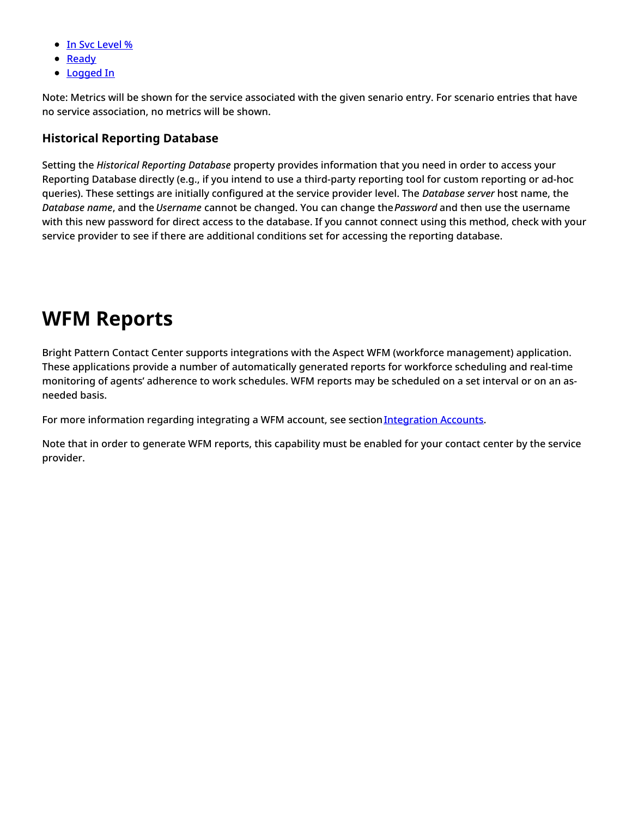- **In Svc [Level](https://help.brightpattern.com/5.8:Reporting-reference-guide/AllMetrics#Percentage_of_Inbound_Interactions_Answered_in_Service_Level_Over_the_Day_.28IN_Svc_Level_Day_.25.29) %**
- [Ready](https://help.brightpattern.com/5.8:Reporting-reference-guide/AllMetrics#Agents_Ready_.28Ready.29)
- [Logged](https://help.brightpattern.com/5.8:Reporting-reference-guide/AllMetrics#Logged-in_Agents_.28Logged_In.29) In

Note: Metrics will be shown for the service associated with the given senario entry. For scenario entries that have no service association, no metrics will be shown.

### <span id="page-9-0"></span>**Historical Reporting Database**

Setting the *Historical Reporting Database* property provides information that you need in order to access your Reporting Database directly (e.g., if you intend to use a third-party reporting tool for custom reporting or ad-hoc queries). These settings are initially configured at the service provider level. The *Database server* host name, the *Database name*, and the *Username* cannot be changed. You can change the*Password* and then use the username with this new password for direct access to the database. If you cannot connect using this method, check with your service provider to see if there are additional conditions set for accessing the reporting database.

# <span id="page-9-1"></span>**WFM Reports**

Bright Pattern Contact Center supports integrations with the Aspect WFM (workforce management) application. These applications provide a number of automatically generated reports for workforce scheduling and real-time monitoring of agents' adherence to work schedules. WFM reports may be scheduled on a set interval or on an asneeded basis.

For more information regarding integrating a WFM account, see section [Integration](https://help.brightpattern.com/5.8:Contact-center-administrator-guide/IntegrationAccounts#WFM_Integration) Accounts.

Note that in order to generate WFM reports, this capability must be enabled for your contact center by the service provider.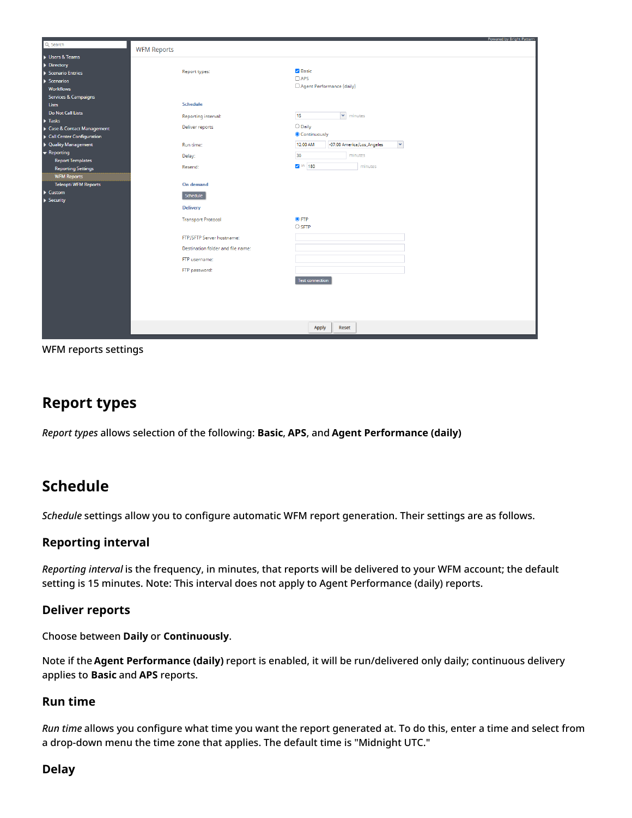| Q Search                               |                                   | Powered by Bright Pattern                              |
|----------------------------------------|-----------------------------------|--------------------------------------------------------|
|                                        | <b>WFM Reports</b>                |                                                        |
| $\blacktriangleright$ Users & Teams    |                                   |                                                        |
| →<br>← Directory<br>← Scenario Entries |                                   |                                                        |
|                                        | Report types:                     | <b>Z</b> Basic<br>$\Box$ APS                           |
| $\blacktriangleright$ Scenarios        |                                   | Agent Performance (daily)                              |
| <b>Workflows</b>                       |                                   |                                                        |
| <b>Services &amp; Campaigns</b>        |                                   |                                                        |
| <b>Lists</b>                           | <b>Schedule</b>                   |                                                        |
| <b>Do Not Call Lists</b>               | Reporting interval:               | $\blacktriangleright$ minutes<br>15                    |
| $\blacktriangleright$ Tasks            |                                   | O Daily                                                |
| Case & Contact Management              | Deliver reports                   | Continuously                                           |
| Call Center Configuration              |                                   |                                                        |
| ▶ Quality Management                   | Run time:                         | $\checkmark$<br>12:00 AM<br>-07:00 America/Los_Angeles |
| $\bullet$ Reporting                    | Delay:                            | 30<br>minutes                                          |
| <b>Report Templates</b>                | Resend:                           | $\blacksquare$ in   180<br>minutes                     |
| <b>Reporting Settings</b>              |                                   |                                                        |
| <b>WFM Reports</b>                     |                                   |                                                        |
| <b>Teleopti WFM Reports</b>            | <b>On demand</b>                  |                                                        |
| $\blacktriangleright$ Custom           | Schedule                          |                                                        |
| $\blacktriangleright$ Security         | <b>Delivery</b>                   |                                                        |
|                                        |                                   |                                                        |
|                                        | <b>Transport Protocol</b>         | $Q$ FTP                                                |
|                                        |                                   | $\bigcirc$ SFTP                                        |
|                                        | FTP/SFTP Server hostname:         |                                                        |
|                                        | Destination folder and file name: |                                                        |
|                                        |                                   |                                                        |
|                                        | FTP username:                     |                                                        |
|                                        | FTP password:                     |                                                        |
|                                        |                                   | <b>Test connection</b>                                 |
|                                        |                                   |                                                        |
|                                        |                                   |                                                        |
|                                        |                                   |                                                        |
|                                        |                                   |                                                        |
|                                        |                                   |                                                        |
|                                        |                                   | Apply<br>Reset                                         |
|                                        |                                   |                                                        |

WFM reports settings

# <span id="page-10-0"></span>**Report types**

*Report types* allows selection of the following: **Basic**, **APS**, and **Agent Performance (daily)**

# <span id="page-10-1"></span>**Schedule**

*Schedule* settings allow you to configure automatic WFM report generation. Their settings are as follows.

# <span id="page-10-2"></span>**Reporting interval**

*Reporting interval* is the frequency, in minutes, that reports will be delivered to your WFM account; the default setting is 15 minutes. Note: This interval does not apply to Agent Performance (daily) reports.

# <span id="page-10-3"></span>**Deliver reports**

Choose between **Daily** or **Continuously**.

Note if the **Agent Performance (daily)** report is enabled, it will be run/delivered only daily; continuous delivery applies to **Basic** and **APS** reports.

# <span id="page-10-4"></span>**Run time**

*Run time* allows you configure what time you want the report generated at. To do this, enter a time and select from a drop-down menu the time zone that applies. The default time is "Midnight UTC."

# <span id="page-10-5"></span>**Delay**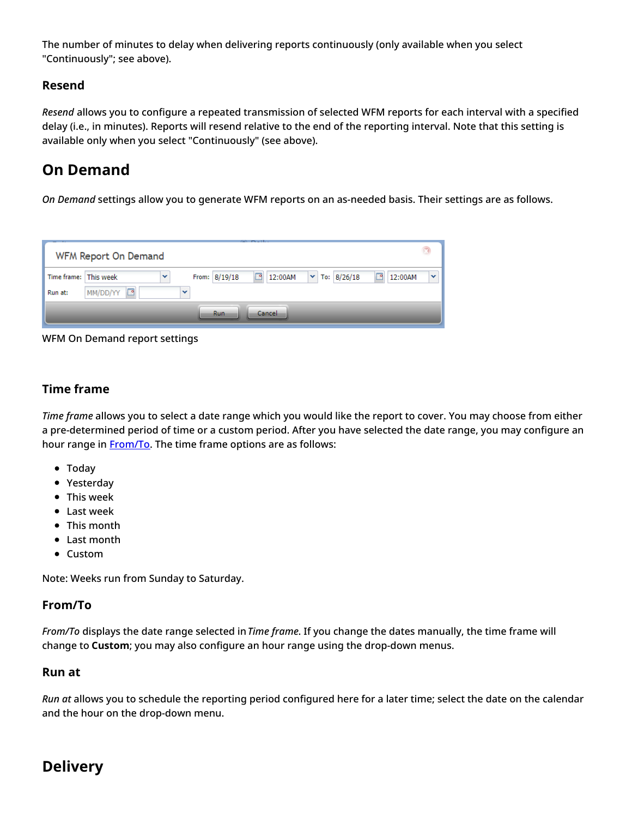The number of minutes to delay when delivering reports continuously (only available when you select "Continuously"; see above).

# <span id="page-11-0"></span>**Resend**

*Resend* allows you to configure a repeated transmission of selected WFM reports for each interval with a specified delay (i.e., in minutes). Reports will resend relative to the end of the reporting interval. Note that this setting is available only when you select "Continuously" (see above).

# <span id="page-11-1"></span>**On Demand**

*On Demand* settings allow you to generate WFM reports on an as-needed basis. Their settings are as follows.



WFM On Demand report settings

# <span id="page-11-2"></span>**Time frame**

*Time frame* allows you to select a date range which you would like the report to cover. You may choose from either a pre-determined period of time or a custom period. After you have selected the date range, you may configure an hour range in **[From/To](https://help.brightpattern.com/5.8:Contact-center-administrator-guide/Reporting/Overview/?action=html-localimages-export#From.2FTo)**. The time frame options are as follows:

- Today
- Yesterday
- This week
- Last week
- This month
- Last month
- Custom

Note: Weeks run from Sunday to Saturday.

# <span id="page-11-3"></span>**From/To**

*From/To* displays the date range selected in*Time frame*. If you change the dates manually, the time frame will change to **Custom**; you may also configure an hour range using the drop-down menus.

# <span id="page-11-4"></span>**Run at**

*Run at* allows you to schedule the reporting period configured here for a later time; select the date on the calendar and the hour on the drop-down menu.

# <span id="page-11-5"></span>**Delivery**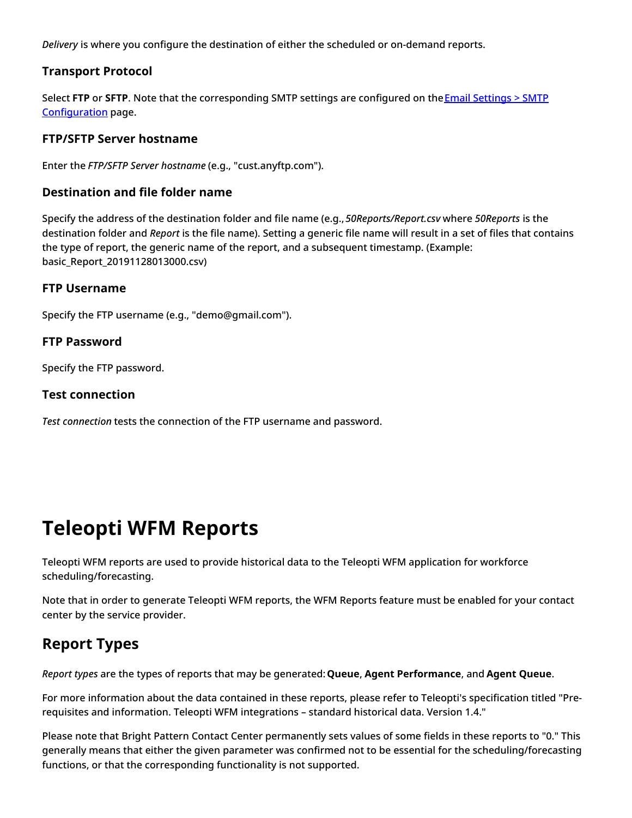*Delivery* is where you configure the destination of either the scheduled or on-demand reports.

# <span id="page-12-0"></span>**Transport Protocol**

Select **FTP** or **SFTP**. Note that the [corresponding](https://help.brightpattern.com/5.8:Contact-center-administrator-guide/EmailSettings#SMTP_Configuration) SMTP settings are configured on theEmail Settings > SMTP Configuration page.

# <span id="page-12-1"></span>**FTP/SFTP Server hostname**

Enter the *FTP/SFTP Server hostname* (e.g., "cust.anyftp.com").

### <span id="page-12-2"></span>**Destination and file folder name**

Specify the address of the destination folder and file name (e.g.,*50Reports/Report.csv* where *50Reports* is the destination folder and *Report* is the file name). Setting a generic file name will result in a set of files that contains the type of report, the generic name of the report, and a subsequent timestamp. (Example: basic\_Report\_20191128013000.csv)

### <span id="page-12-3"></span>**FTP Username**

Specify the FTP username (e.g., "demo@gmail.com").

### <span id="page-12-4"></span>**FTP Password**

Specify the FTP password.

### <span id="page-12-5"></span>**Test connection**

*Test connection* tests the connection of the FTP username and password.

# <span id="page-12-6"></span>**Teleopti WFM Reports**

Teleopti WFM reports are used to provide historical data to the Teleopti WFM application for workforce scheduling/forecasting.

Note that in order to generate Teleopti WFM reports, the WFM Reports feature must be enabled for your contact center by the service provider.

# <span id="page-12-7"></span>**Report Types**

*Report types* are the types of reports that may be generated:**Queue**, **Agent Performance**, and **Agent Queue**.

For more information about the data contained in these reports, please refer to Teleopti's specification titled "Prerequisites and information. Teleopti WFM integrations – standard historical data. Version 1.4."

Please note that Bright Pattern Contact Center permanently sets values of some fields in these reports to "0." This generally means that either the given parameter was confirmed not to be essential for the scheduling/forecasting functions, or that the corresponding functionality is not supported.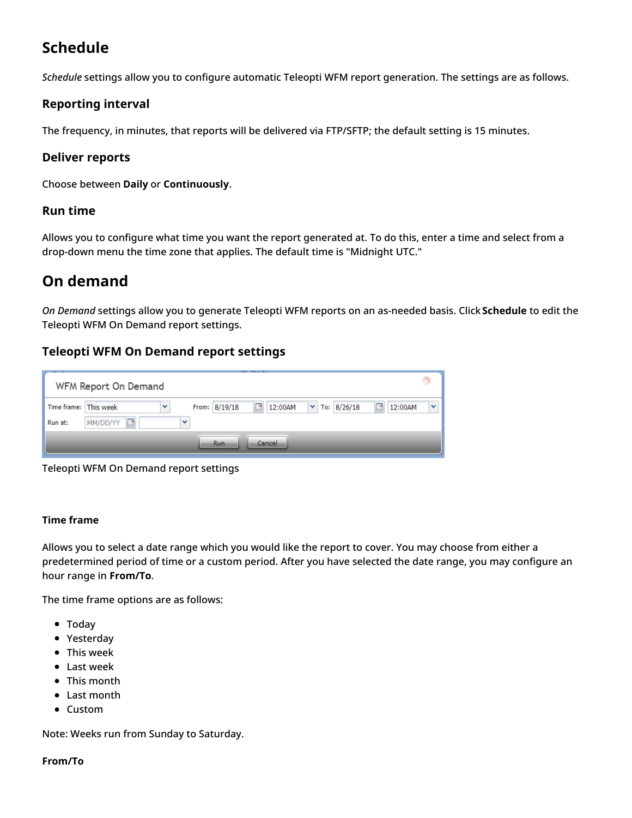# <span id="page-13-0"></span>**Schedule**

*Schedule* settings allow you to configure automatic Teleopti WFM report generation. The settings are as follows.

# <span id="page-13-1"></span>**Reporting interval**

The frequency, in minutes, that reports will be delivered via FTP/SFTP; the default setting is 15 minutes.

# <span id="page-13-2"></span>**Deliver reports**

Choose between **Daily** or **Continuously**.

# <span id="page-13-3"></span>**Run time**

Allows you to configure what time you want the report generated at. To do this, enter a time and select from a drop-down menu the time zone that applies. The default time is "Midnight UTC."

# <span id="page-13-4"></span>**On demand**

*On Demand* settings allow you to generate Teleopti WFM reports on an as-needed basis. Click **Schedule** to edit the Teleopti WFM On Demand report settings.

# <span id="page-13-5"></span>**Teleopti WFM On Demand report settings**

| WFM Report On Demand  |               |              |               |          |         |  |                             |              | $\mathbf{r}$ |
|-----------------------|---------------|--------------|---------------|----------|---------|--|-----------------------------|--------------|--------------|
| Time frame: This week |               | $\mathbf{v}$ | From: 8/19/18 | <b>P</b> | 12:00AM |  | $\triangledown$ To: 8/26/18 | 12:00AM<br>◚ | $\checkmark$ |
| Run at:               | r<br>MM/DD/YY | v            |               |          |         |  |                             |              |              |
|                       |               |              | <b>Run</b>    |          | Cancel  |  |                             |              |              |

Teleopti WFM On Demand report settings

#### <span id="page-13-6"></span>**Time frame**

Allows you to select a date range which you would like the report to cover. You may choose from either a predetermined period of time or a custom period. After you have selected the date range, you may configure an hour range in **From/To**.

The time frame options are as follows:

- Today
- Yesterday
- This week
- Last week
- This month
- Last month
- Custom

Note: Weeks run from Sunday to Saturday.

#### <span id="page-13-7"></span>**From/To**